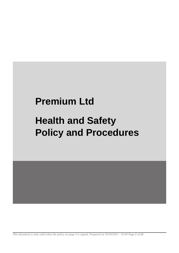## **Premium Ltd**

# **Health and Safety Policy and Procedures**

*This document is only valid when the policy on page 3 is signed. Prepared on 19/10/2021 - 10:40 Page 1 of 25*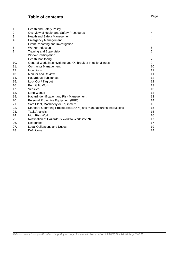## **Table of contents Page**

| 1.  | <b>Health and Safety Policy</b>                                      | 3              |
|-----|----------------------------------------------------------------------|----------------|
| 2.  | Overview of Health and Safety Procedures                             | 4              |
| 3.  | Health and Safety Management                                         | 4              |
| 4.  | <b>Emergency Management</b>                                          | 5              |
| 5.  | Event Reporting and Investigation                                    | 5              |
| 6   | <b>Worker Induction</b>                                              | 6              |
| 7.  | <b>Training and Supervision</b>                                      | 6              |
| 8.  | <b>Worker Participation</b>                                          | 8              |
| 9.  | <b>Health Monitoring</b>                                             | $\overline{7}$ |
| 10. | General Workplace Hygiene and Outbreak of Infection/Illness          | 9              |
| 11. | <b>Contractor Management</b>                                         | 10             |
| 12. | <b>Inductions</b>                                                    | 11             |
| 13. | <b>Monitor and Review</b>                                            | 11             |
| 14. | <b>Hazardous Substances</b>                                          | 12             |
| 15. | Lock Out / Tag out                                                   | 12             |
| 16. | Permit To Work                                                       | 13             |
| 17. | Vehicles                                                             | 13             |
| 18. | Lone Worker                                                          | 13             |
| 19. | Hazard Identification and Risk Management                            | 13             |
| 20. | Personal Protective Equipment (PPE)                                  | 14             |
| 21. | Safe Plant, Machinery or Equipment                                   | 15             |
| 22. | Standard Operating Procedures (SOPs) and Manufacturer's Instructions | 15             |
| 23. | <b>Task Analysis</b>                                                 | 15             |
| 24. | <b>High Risk Work</b>                                                | 16             |
| 25. | Notification of Hazardous Work to WorkSafe Nz                        | 17             |
| 26. | Resources                                                            | 17             |
| 27. | <b>Legal Obligations and Duties</b>                                  | 19             |
| 28. | <b>Definitions</b>                                                   | 24             |
|     |                                                                      |                |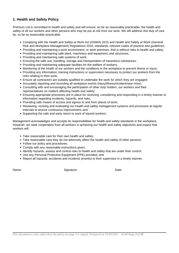## **1. Health and Safety Policy**

Premium Ltd is committed to health and safety and will ensure, so far as reasonably practicable, the health and safety of all our workers and other persons who may be put at risk from our work. We will address this duty of care by, so far as reasonably practicable:

- Complying with the Health and Safety at Work Act (HSWA) 2015 and Health and Safety at Work (General Risk and Workplace Management) Regulations 2016, standards, relevant codes of practice and guidelines;
- Providing and maintaining a work environment, or work premises, that is without risks to health and safety;
- Providing and maintaining safe plant, machinery and equipment, and structures;
- Providing and maintaining safe systems of work;
- Ensuring the safe use, handling, storage and transportation of hazardous substances;
- Providing and maintaining adequate facilities for the welfare of workers;
- Monitoring of the health of our workers and the conditions in the workplace to prevent illness or injury;
- Providing any information, training instructions or supervision necessary to protect our workers from the risks relating to their work;
- Ensure all contractors are suitably qualified to undertake the work for which they are engaged;
- Accurately reporting and recording all workplace events (injury/illness/incident/near miss);
- Consulting with and encouraging the participation of other duty holders, our workers and their representatives on matters affecting health and safety;
- Ensuring appropriate processes are in place for receiving, considering and responding in a timely manner to information regarding incidents, hazards, and risks;
- Providing safe means of access and egress to and from places of work;
- Reviewing, revising and evaluating our health and safety management systems and processes at regular intervals to ensure continuous improvement; and
- Supporting the safe and early return to work of injured workers.

Management acknowledges and accepts its responsibilities for health and safety standards in the workplace. However, we seek cooperation from all workers in achieving our health and safety objectives and expect that workers will:

- Take reasonable care for their own health and safety;
- Take reasonable care they do not adversely affect the health and safety of other persons;
- Follow our policy and procedures;
- Comply with any reasonable instructions given;
- Identify hazards, assess and control risks to health and safety that are under their control;
- Use any Personal Protective Equipment (PPE) provided; and
- Report all hazards, accidents and incidents (events) to their supervisor in a timely manner.

Name: Contract Contract Contract Contract Contract Contract Contract Contract Contract Contract Contract Contract Contract Contract Contract Contract Contract Contract Contract Contract Contract Contract Contract Contract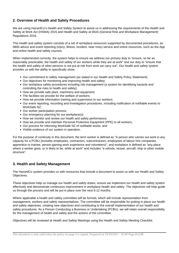## **2. Overview of Health and Safety Procedures**

We are using HazardCo's Health and Safety System to assist us in addressing the requirements of the Health and Safety at Work Act (HSWA) 2015 and Health and Safety at Work (General Risk and Workplace Management) Regulations 2016.

This health and safety system consists of a set of workplace resources supported by documented procedures, an 0800 advice and event reporting (injury, illness, incident, near miss) service and online resources, such as the App and online health and safety courses.

When implemented correctly, the system helps to ensure we address our primary duty to "ensure, so far as reasonably practicable, the health and safety of our workers while they are at work" and our duty to "ensure that the health and safety of other persons is not put at risk from work we carry out". Our health and safety system provides us with the ability to specifically show:

- Our commitment to safety management (as stated in our Health and Safety Policy Statement);
- Our objectives for monitoring and improving health and safety;
- Our workplace safety procedures including risk management (a system for identifying hazards and controlling the risks to health and safety);
- How we provide safe plant, machinery and equipment:
- The facilities we provide for the welfare of workers;
- How we provide information training and supervision to our workers;
- Our event reporting, recording and investigation procedures, including notification of notifiable events to WorkSafe NZ;
- Our worker participation process;
- Our emergency planning for our workplace(s):
- How we monitor and review our health and safety performance;
- How we provide and maintain Personal Protective Equipment (PPE) to all workers;
- Our process for informing WorkSafe NZ of notifiable works; and
- Visible evidence of our system in operation.

For the purpose of continuity in this document, the term worker is defined as "A person who carries out work in any capacity for a PCBU (includes employees, contractors, subcontractors, employees of labour hire companies, apprentice or trainee, person gaining work experience and volunteers)", and workplace is defined as "any place where a worker goes, or is likely to be, while at work" and includes "a vehicle, vessel, aircraft, ship or other mobile structure".

## **3. Health and Safety Management**

The HazardCo system provides us with resources that include a document to assist us with our Health and Safety Objectives.

These objectives help us manage our health and safety duties, ensure we implement our health and safety system effectively and demonstrate continuous improvement in workplace health and safety. The objectives will help guide us through the process and will be put in place over the next 6-12 months.

Where applicable a health and safety committee will be formed, which will include representation from management, workers and safety representatives. The committee will be responsible for putting in place our health and safety objectives, creating new objectives and contributing to the overall implementation of our health and safety procedures. As a Person Conducting a Business or Undertaking (PCBU), we will retain overall responsibility for the management of health and safety and the actions of the committee.

Objectives will be reviewed at Health and Safety Meetings using the Health and Safety Meeting Checklist.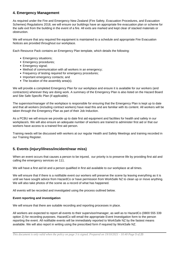## **4. Emergency Management**

As required under the Fire and Emergency New Zealand (Fire Safety, Evacuation Procedures, and Evacuation Schemes) Regulations 2018, we will ensure our buildings have an appropriate fire evacuation plan or scheme for the safe exit from the building in the event of a fire. All exits are marked and kept clear of stacked materials or obstruction.

We will ensure that any required fire equipment is maintained to a schedule and appropriate Fire Evacuation Notices are provided throughout our workplace.

Each Resource Pack contains an Emergency Plan template, which details the following:

- Emergency situations:
- Emergency procedures;
- Emergency signal;
- Method of communication with all workers in an emergency;
- Frequency of testing required for emergency procedures;
- Important emergency contacts; and
- The location of the assembly area(s).

We will provide a completed Emergency Plan for our workplace and ensure it is available for our workers (and contractors) wherever they are doing work. A summary of the Emergency Plan is also listed on the Hazard Board and Site Safe Specific Plan (if applicable).

The supervisor/manager of the workplace is responsible for ensuring that the Emergency Plan is kept up to date and that all workers (including contract workers) have read this and are familiar with its content. All workers will be taken through the Emergency Plan as part of their Job Induction.

As a PCBU we will ensure we provide up to date first aid equipment and facilities for health and safety in our workplace/s. We will also ensure an adequate number of workers are trained to administer first aid or that our workers have access to a trained first aid person.

Training needs will be discussed with workers at our regular Health and Safety Meetings and training recorded in our Training Register.

## **5. Events (injury/illness/incident/near miss)**

When an event occurs that causes a person to be injured, our priority is to preserve life by providing first aid and calling the emergency services on 111.

We will have a first aid kit and a person qualified in first aid available to our workplace at all times.

We will ensure that if there is a notifiable event our workers will preserve the scene by leaving everything as it is until we have sought advice from HazardCo or have permission from WorkSafe NZ to clean up or move anything. We will also take photos of the scene as a record of what has happened.

All events will be recorded and investigated using the process outlined below.

## **Event reporting and investigation**

We will ensure that there are suitable recording and reporting processes in place.

All workers are expected to report all events to their supervisor/manager, as well as to HazardCo (0800 555 339 option 2) for recording purposes. HazardCo will email the appropriate Event Investigation form to the person reporting the event. All notifiable events will be immediately reported to WorkSafe NZ by the fastest means available. We will also report in writing using the prescribed form if required by WorkSafe NZ.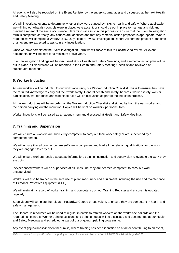All events will also be recorded on the Event Register by the supervisor/manager and discussed at the next Health and Safety Meeting.

We will investigate events to determine whether they were caused by risks to health and safety. Where applicable, we will find out what risk controls were in place, were absent, or should be put in place to manage any risk and prevent a repeat of the same occurrence. HazardCo will assist in this process to ensure that the Event Investigation form is completed correctly, any causes are identified and that any remedial action proposed is appropriate. Where required we will complete a WorkSafe NZ Duty Holder Review Investigation Report. All persons present at the time of an event are expected to assist in any investigation.

Once we have completed the Event Investigation Form we will forward this to HazardCo to review. All event documentation will be kept for a minimum of five years.

Event Investigation findings will be discussed at our Health and Safety Meetings, and a remedial action plan will be put in place, all discussions will be recorded in the Health and Safety Meeting Checklist and reviewed at subsequent meetings.

## **6. Worker Induction**

All new workers will be inducted to our workplace using our Worker Induction Checklist, this is to ensure they have the required knowledge to carry out their work safely. General health and safety, hazards, worker safety, worker participation, worker duties and workplace rules will be discussed as part of the induction process.

All worker inductions will be recorded on the Worker Induction Checklist and signed by both the new worker and the person carrying out the induction. Copies will be kept on workers' personnel files.

Worker inductions will be raised as an agenda item and discussed at Health and Safety Meetings.

## **7. Training and Supervision**

We will ensure all workers are sufficiently competent to carry out their work safely or are supervised by a competent person.

We will ensure that all contractors are sufficiently competent and hold all the relevant qualifications for the work they are engaged to carry out.

We will ensure workers receive adequate information, training, instruction and supervision relevant to the work they are doing.

Inexperienced workers will be supervised at all times until they are deemed competent to carry out work unsupervised.

Workers will also be trained in the safe use of plant, machinery and equipment, including the use and maintenance of Personal Protective Equipment (PPE).

We will maintain a record of worker training and competency on our Training Register and ensure it is updated regularly.

Supervisors will complete the relevant HazardCo Course or equivalent, to ensure they are competent in health and safety management.

The HazardCo resources will be used at regular intervals to refresh workers on the workplace hazards and the required risk controls. Worker training sessions and training needs will be discussed and documented at our Health and Safety Meetings and scheduled as part of our ongoing upskilling programme.

Any event (injury/illness/incident/near miss) where training has been identified as a factor contributing to an event,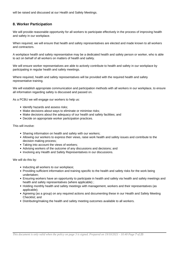will be raised and discussed at our Health and Safety Meetings.

## **8. Worker Participation**

We will provide reasonable opportunity for all workers to participate effectively in the process of improving health and safety in our workplace.

When required, we will ensure that health and safety representatives are elected and made known to all workers and contractors.

A workplace health and safety representative may be a dedicated health and safety person or worker, who is able to act on behalf of all workers on matters of health and safety.

We will ensure worker representatives are able to actively contribute to health and safety in our workplace by participating in regular health and safety meetings.

Where required, health and safety representatives will be provided with the required health and safety representative training.

We will establish appropriate communication and participation methods with all workers in our workplace, to ensure all information regarding safety is discussed and passed on.

As a PCBU we will engage our workers to help us:

- Identify hazards and assess risks;
- Make decisions about ways to eliminate or minimise risks;
- Make decisions about the adequacy of our health and safety facilities; and
- Decide on appropriate worker participation practices.

#### This will involve:

- Sharing information on health and safety with our workers;
- Allowing our workers to express their views, raise work health and safety issues and contribute to the decision making process;
- Taking into account the views of workers;
- Advising workers of the outcome of any discussions and decisions; and
- Involving any Health and Safety Representatives in our discussions.

We will do this by:

- Inducting all workers to our workplace;
- Providing sufficient information and training specific to the health and safety risks for the work being undertaken;
- Ensuring workers have an opportunity to participate in health and safety via health and safety meetings and health and safety representatives (where applicable) ;
- Holding monthly health and safety meetings with management, workers and their representatives (as applicable);
- Agreeing (as a group) on any required actions and documenting these in our Health and Safety Meeting Checklist; and
- Distributing/making the health and safety meeting outcomes available to all workers.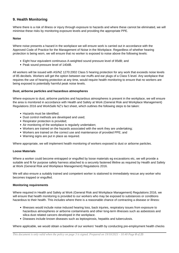## **9. Health Monitoring**

Where there is a risk of illness or injury through exposure to hazards and where these cannot be eliminated, we will minimise these risks by monitoring exposure levels and providing the appropriate PPE.

## **Noise**

Where noise presents a hazard in the workplace we will ensure work is carried out in accordance with the Approved Code of Practice for the Management of Noise in the Workplace. Regardless of whether hearing protection is being worn, we will ensure that no worker is exposed to noise above the following levels:

- Eight hour equivalent continuous A-weighted sound pressure level of 85dB; and
- Peak sound pressure level of 140dB.

All workers will be issued with AS/NZ 1270:2002 Class 5 hearing protection for any work that exceeds noise levels of 85 decibels. Workers will get the option between ear muffs and ear plugs of a Class 5 level. Any workplace that requires the use of hearing protection at any time, would require health monitoring to ensure that no workers are being exposed to potentially harmful peak noise levels.

#### **Dust, airborne particles and hazardous atmospheres**

Where exposure to dust, airborne particles and hazardous atmospheres is present in the workplace, we will ensure the area is monitored in accordance with Health and Safety at Work (General Risk and Workplace Management) Regulations 2016 and WorkSafe NZ's fact sheet, which outlines the following steps to be taken:

- Hazards must be identified;
- Dust control methods are developed and used;
- Respirator protection is provided;
- Air monitoring of the workplace is regularly undertaken;
- Workers are trained on the hazards associated with the work they are undertaking;
- Workers are trained on the correct use and maintenance of provided PPE; and
- Warning signs are put in place as required.

Where appropriate, we will implement health monitoring of workers exposed to dust or airborne particles.

#### **Loose Materials**

Where a worker could become entrapped or engulfed by loose materials eg excavations etc, we will provide a suitable and fit for purpose safety harness attached to a securely fastened lifeline as required by Health and Safety at Work (General Risk and Workplace Management) Regulations 2016.

We will also ensure a suitably trained and competent worker is stationed to immediately rescue any worker who becomes trapped or engulfed.

#### **Monitoring requirements**

Where required in Health and Safety at Work (General Risk and Workplace Management) Regulations 2016, we will ensure that health monitoring is provided to our workers who may be exposed to substances or conditions hazardous to their health. This includes where there is a reasonable chance of contracting a disease or illness:

- Illnesses would include noise induced hearing loss, back injuries, respiratory issues from exposure to hazardous atmospheres or airborne contaminants and other long-term illnesses such as asbestosis and silica dust related cancers developed in the workplace.
- Diseases include known diseases such as leptospirosis, hepatitis and tuberculosis.

Where applicable, we would obtain a baseline of our workers' health by conducting pre-employment health checks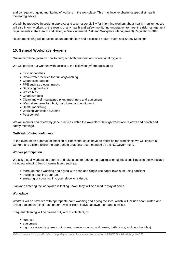and by regular ongoing monitoring of workers in the workplace. This may involve obtaining specialist health monitoring advice.

We will be proactive in seeking approval and take responsibility for informing workers about health monitoring. We will also inform workers of the results of any health and safety monitoring undertaken to meet the risk management requirements in the Health and Safety at Work (General Risk and Workplace Management) Regulations 2016.

Health monitoring will be raised as an agenda item and discussed at our Health and Safety Meetings.

## **10. General Workplace Hygiene**

Guidance will be given on how to carry out both personal and operational hygiene.

We will provide our workers with access to the following (where applicable):

- First aid facilities
- Clean water facilities for drinking/washing
- Clean toilet facilities
- PPE such as gloves, masks
- Sanitising products
- Waste bins
- Clean surfaces
- Clean and well-maintained plant, machinery and equipment
- Wash down area for plant, machinery, and equipment
- Health monitoring
- Working ventilation systems
- Pest control.

We will monitor and review hygiene practices within the workplace through workplace reviews and health and safety meetings.

#### **Outbreak of infection/illness**

In the event of an outbreak of infection or illness that could have an effect on the workplace, we will ensure all workers and visitors follow the appropriate protocols recommended by the NZ Government.

## **Worker participation**

We ask that all workers co-operate and take steps to reduce the transmission of infectious illness in the workplace including following basic hygiene levels such as:

- thorough hand washing and drying with soap and single-use paper towels, or using sanitiser
- avoiding touching your face
- sneezing or coughing into your elbow or a tissue.

If anyone entering the workplace is feeling unwell they will be asked to stay at home.

#### **Workplace**

Workers will be provided with appropriate hand washing and drying facilities, which will include soap, water, and drying equipment (single-use paper towel or clean individual towel), or hand sanitiser.

Frequent cleaning will be carried out, with disinfectant, of:

- surfaces
- equipment
- high-use areas (e.g break out rooms, meeting rooms, work areas, bathrooms, and door handles).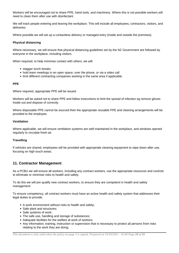Workers will be encouraged not to share PPE, hand tools, and machinery. Where this is not possible workers will need to clean them after use with disinfectant.

We will track people entering and leaving the workplace. This will include all employees, contractors, visitors, and deliveries.

Where possible we will set up a contactless delivery or managed entry (inside and outside the premises).

## **Physical distancing**

Where necessary, we will ensure that physical distancing guidelines set by the NZ Government are followed by everyone in the workplace, including visitors.

When required, to help minimise contact with others, we will:

- stagger lunch breaks
- hold team meetings in an open space, over the phone, or via a video call
- limit different contracting companies working in the same area if applicable.

## **PPE**

Where required, appropriate PPE will be issued.

Workers will be asked not to share PPE and follow instructions to limit the spread of infection eg remove gloves inside out and dispose of correctly.

Where disposable PPE cannot be sourced then the appropriate reusable PPE and cleaning arrangements will be provided to the employee.

#### **Ventilation**

Where applicable, we will ensure ventilation systems are well maintained in the workplace, and windows opened regularly to circulate fresh air.

## **Travelling**

If vehicles are shared, employees will be provided with appropriate cleaning equipment to wipe down after use, focusing on high touch areas.

## **11. Contractor Management**

As a PCBU we will ensure all workers, including any contract workers, use the appropriate resources and controls to eliminate or minimise risks to health and safety.

To do this we will pre qualify new contract workers, to ensure they are competent in health and safety management.

To ensure competency, all contract workers must have an active health and safety system that addresses their legal duties to provide:

- A work environment without risks to health and safety;
- Safe plant and structures;
- Safe systems of work:
- The safe use, handling and storage of substances;
- Adequate facilities for the welfare at work of workers;
- Any information, training, instruction or supervision that is necessary to protect all persons from risks relating to the work they are doing;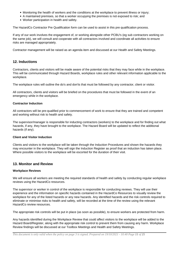- Monitoring the health of workers and the conditions at the workplace to prevent illness or injury;
- A maintained premises, so that a worker occupying the premises is not exposed to risk; and
- Worker participation in health and safety.

The HazardCo Contractor Pre Qualification form can be used to assist in this pre qualification process.

If any of our work involves the engagement of, or working alongside other PCBU's (eg sub contractors working on the same job), we will consult and cooperate with all contractors involved and coordinate all activities to ensure risks are managed appropriately.

Contractor management will be raised as an agenda item and discussed at our Health and Safety Meetings.

## **12. Inductions**

Contractors, clients and visitors will be made aware of the potential risks that they may face while in the workplace. This will be communicated through Hazard Boards, workplace rules and other relevant information applicable to the workplace.

The workplace rules will outline the do's and don'ts that must be followed by any contractor, client or visitor.

All contractors, clients and visitors will be briefed on the procedures that must be followed in the event of an emergency while in the workplace.

## **Contractor Induction**

All contractors will be pre-qualified prior to commencement of work to ensure that they are trained and competent and working without risk to health and safety.

The supervisor/manager is responsible for inducting contractors (workers) to the workplace and for finding out what hazards, if any, they have brought to the workplace. The Hazard Board will be updated to reflect the additional hazards (if any).

## **Client and Visitor Induction**

Clients and visitors to the workplace will be taken through the Induction Procedures and shown the hazards they may encounter in the workplace. They will sign the Induction Register as proof that an induction has taken place. Where possible visitors to the workplace will be escorted for the duration of their visit.

## **13. Monitor and Review**

## **Workplace Reviews**

We will ensure all workers are meeting the required standards of health and safety by conducting regular workplace reviews using the HazardCo resources.

The supervisor or worker in control of the workplace is responsible for conducting reviews. They will use their experience and the information on specific hazards contained in the HazardCo Resources to visually review the workplace for any of the listed hazards or any new hazards. Any identified hazards and the risk controls required to eliminate or minimise risks to health and safety, will be recorded at the time of the review using the relevant HazardCo review resources.

The appropriate risk controls will be put in place (as soon as possible), to ensure workers are protected from harm.

Any hazards identified during the Workplace Review that could affect visitors to the workplace will be added to the Hazard Board/Register, along with the appropriate risk control to prevent them from causing any harm. Workplace Review findings will be discussed at our Toolbox Meetings and Health and Safety Meetings.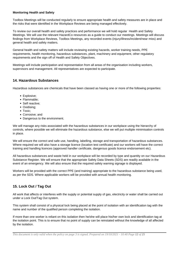## **Monitoring Health and Safety**

Toolbox Meetings will be conducted regularly to ensure appropriate health and safety measures are in place and the risks that were identified in the Workplace Reviews are being managed effectively.

To review our overall health and safety practices and performance we will hold regular Health and Safety Meetings. We will use the relevant HazardCo resources as a guide to conduct our meetings. Meetings will discuss findings from Workplace Reviews, Toolbox Meetings, any recorded events (injury/illness/incident/near miss) and general health and safety matters.

General health and safety matters will include reviewing existing hazards, worker training needs, PPE requirements, health monitoring, hazardous substances, plant, machinery and equipment, other regulatory requirements and the sign off of Health and Safety Objectives.

Meetings will include participation and representation from all areas of the organisation including workers, supervisors and management. All representatives are expected to participate.

## **14. Hazardous Substances**

Hazardous substances are chemicals that have been classed as having one or more of the following properties:

- Explosive;
- Flammable:
- Self reactive:
- Oxidising;
- Toxic:
- Corrosive; and
- Dangerous to the environment.

We will manage any risks associated with the hazardous substances in our workplace using the hierarchy of controls, where possible we will eliminate the hazardous substance, else we will put multiple minimisation controls in place.

We will ensure the correct and safe use, handling, labelling, storage and transportation of hazardous substances. Where required we will also have a storage licence (location test certificate) and our workers will have the correct training and handling licences (approved handler certificate, dangerous goods licence endorsement etc).

All hazardous substances and waste held in our workplace will be recorded by type and quantity on our Hazardous Substance Register. We will ensure that the appropriate Safety Data Sheets (SDS) are readily available in the event of an emergency. We will also ensure that the required safety warning signage is displayed.

Workers will be provided with the correct PPE (and training) appropriate to the hazardous substance being used, as per the SDS. Where applicable workers will be provided with annual health monitoring.

## **15. Lock Out / Tag Out**

All work that affects or interferes with the supply or potential supply of gas, electricity or water shall be carried out under a Lock Out/Tag Out system.

This system shall consist of a physical lock being placed at the point of isolation with an identification tag with the name and number of the qualified person completing the isolation.

If more than one worker is reliant on this isolation then he/she will place his/her own lock and identification tag at the isolation point. This is to ensure that no point of supply can be reinstated without the knowledge of all affected by the isolation.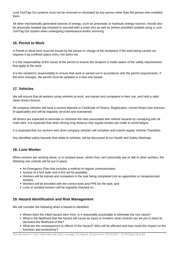Lock Out/Tag Out systems must not be removed or reinstated by any person other than the person who installed them.

All other mechanically generated sources of energy, such as pneumatic or hydraulic energy sources, should also be physically isolated (eg chocked or secured with a chain etc) as well as (where possible) isolated using a Lock Out/Tag Out system when undergoing maintenance and/or servicing.

## **16. Permit to Work**

A Permit to Work form must be issued by the person in charge of the workplace if the work being carried out requires it eg confined space entry, hot works etc.

It is the responsibility of the issuer of the permit to ensure the recipient is made aware of the safety requirements that apply to the work.

It is the recipient's responsibility to ensure that work is carried out in accordance with the permit requirements. If the work changes, the permit must be updated or a new one issued.

## **17. Vehicles**

We will ensure that all workers using vehicles at work, are trained and competent in their use, and hold a valid clean drivers licence.

All company vehicles will have a current Warrant or Certificate of Fitness, Registration, correct Road User licences (if applicable) and will be regularly serviced and maintained.

All drivers are expected to eliminate or minimise the risks associated with vehicle hazards by complying with all road rules. It is expected that when driving long distance that regular breaks are made to avoid fatigue.

It is expected that our workers who drive company vehicles will complete and submit regular Vehicle Checklists.

Any identified safety hazards that relate to vehicles, will be discussed at our Health and Safety Meetings.

## **18. Lone Worker**

When workers are working alone, or in isolated areas, where they can't physically see or talk to other workers, the following risk controls will be put in place:

- An Emergency Plan that includes a method of regular communication;
- Access to a first aider and a first aid kit available;
- Workers will be trained and competent in the task being completed (not an apprentice or inexperienced worker);
- Workers will be provided with the correct tools and PPE for the task; and
- Lone or isolated workers will be regularly checked on.

## **19. Hazard Identification and Risk Management**

We will consider the following when a hazard is identified:

- Where does the initial hazard stem from, is it reasonably practicable to eliminate the root cause?
- What is the likelihood that the hazard will cause an injury or incident, what controls can we put in place to decrease the likelihood of this?
- What are the consequences or effects of the hazard? Who will be affected and how could this impact on the business and productivity?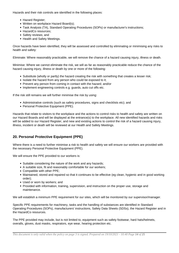Hazards and their risk controls are identified in the following places:

- Hazard Register:
- Written on workplace Hazard Board(s);
- Task Analysis (TA), Standard Operating Procedures (SOPs) or manufacturer's instructions;
- HazardCo resources;
- Safety reviews; and
- Health and Safety Meetings.

Once hazards have been identified, they will be assessed and controlled by eliminating or minimising any risks to health and safety:

Eliminate: Where reasonably practicable, we will remove the chance of a hazard causing injury, illness or death.

Minimise: Where we cannot eliminate the risk, we will as far as reasonably practicable reduce the chance of the hazard causing injury, illness or death by one or more of the following:

- Substitute (wholly or partly) the hazard creating the risk with something that creates a lesser risk;
- Isolate the hazard from any person who could be exposed to it;
- Prevent any person from coming in contact with the hazard; and/or
- Implement engineering controls e.g. guards, auto cut offs etc.

If the risk still remains we will further minimise the risk by using:

- Administrative controls (such as safety procedures, signs and checklists etc); and
- Personal Protective Equipment (PPE).

Hazards that relate to visitors to the workplace and the actions to control risks to health and safety are written on our Hazard Boards and will be displayed at the entrance(s) to the workplace. All new identified hazards and risks will be added to our Hazard Register, and new and existing actions to control the risk of a hazard causing injury, illness, incident or death will be reviewed at our Health and Safety Meetings.

## **20. Personal Protective Equipment (PPE)**

Where there is a need to further minimise a risk to health and safety we will ensure our workers are provided with the necessary Personal Protective Equipment (PPE).

We will ensure the PPE provided to our workers is:

- Suitable considering the nature of the work and any hazards:
- A suitable size, fit and reasonably comfortable for our workers;
- Compatible with other PPE;
- Maintained, stored and repaired so that it continues to be effective (eg clean, hygienic and in good working order);
- Used or worn by workers; and
- Provided with information, training, supervision, and instruction on the proper use, storage and maintenance.

We will establish a minimum PPE requirement for our sites, which will be monitored by our supervisor/manager.

Specific PPE requirements for machinery, tasks and the handling of substances are identified in Standard Operating Procedures (SOPs), manufacturers' instructions, Safety Data Sheets (SDSs), the Hazard Register and in the HazardCo resources.

The PPE provided may include, but is not limited to, equipment such as safety footwear, hard hats/helmets, overalls, gloves, dust masks, respirators, eye wear, hearing protection etc.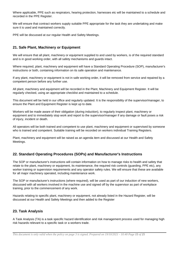Where applicable, PPE such as respirators, hearing protection, harnesses etc will be maintained to a schedule and recorded in the PPE Register.

We will ensure that contract workers supply suitable PPE appropriate for the task they are undertaking and make sure it is used and maintained correctly.

PPE will be discussed at our regular Health and Safety Meetings.

## **21. Safe Plant, Machinery or Equipment**

We will ensure that all plant, machinery or equipment supplied to and used by workers, is of the required standard and is in good working order, with all safety mechanisms and guards intact.

Where required, plant, machinery and equipment will have a Standard Operating Procedure (SOP), manufacturer's instructions or both, containing information on its safe operation and maintenance.

If any plant, machinery or equipment is not in safe working order, it will be removed from service and repaired by a competent person before any further use.

All plant, machinery and equipment will be recorded in the Plant, Machinery and Equipment Register. It will be regularly checked, using an appropriate checklist and maintained to a schedule.

This document will be held in our office and regularly updated. It is the responsibility of the supervisor/manager, to ensure the Plant and Equipment Register is kept up to date.

Workers will be made aware of their obligation (during induction), to regularly inspect plant, machinery or equipment and to immediately stop work and report to the supervisor/manager if any damage or fault poses a risk of injury, incident or death.

All operators will be both trained and competent to use plant, machinery and equipment or supervised by someone who is trained and competent. Suitable training will be recorded on workers individual Training Registers.

Plant, machinery and equipment will be raised as an agenda item and discussed at our Health and Safety Meetings.

## **22. Standard Operating Procedures (SOPs) and Manufacturer's Instructions**

The SOP or manufacturer's instructions will contain information on how to manage risks to health and safety that relate to the plant, machinery or equipment, its maintenance, the required risk controls (guarding, PPE etc), any worker training or supervision requirements and any operator safety rules. We will ensure that these are available for all major machinery operated, including maintenance work.

The SOP or manufacturer's instructions (where required), will be used as part of our induction of new workers, discussed with all workers involved in the machine use and signed off by the supervisor as part of workplace training, prior to the commencement of any work.

Hazards relating to specific plant, machinery or equipment, not already listed in the Hazard Register, will be discussed at our Health and Safety Meetings and then added to the Register

## **23. Task Analysis**

A Task Analysis (TA) is a task specific hazard identification and risk management process used for managing high risk hazards relevant to a specific task or a workers trade.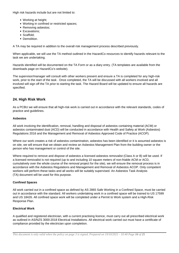High risk hazards include but are not limited to:

- Working at height:
- Working in confined or restricted spaces;
- Removing asbestos;
- Excavations;
- Scaffold:
- Demolition.

A TA may be required in addition to the overall risk management process described previously.

When applicable, we will use the TA method outlined in the HazardCo resources to identify hazards relevant to the task we are undertaking.

Hazards identified will be documented on the TA Form or as a diary entry. (TA templates are available from the downloads page on HazardCo's website).

The supervisor/manager will consult with other workers present and ensure a TA is completed for any high-risk work, prior to the start of the task . Once completed, the TA will be discussed with all workers involved and all involved will sign off the TA prior to starting the task. The Hazard Board will be updated to ensure all hazards are specified.

## **24. High Risk Work**

As a PCBU we will ensure that all high-risk work is carried out in accordance with the relevant standards, codes of practice and guidelines.

## **Asbestos**

All work involving the identification, removal, handling and disposal of asbestos containing material (ACM) or asbestos contaminated dust (ACD) will be conducted in accordance with Health and Safety at Work (Asbestos) Regulations 2016 and the Management and Removal of Asbestos Approved Code of Practice (ACOP).

Where our work creates a risk of asbestos contamination, asbestos has been identified or it is assumed asbestos is on site, we will ensure that we obtain and review an Asbestos Management Plan from the building owner or the person who has management or control of the site.

Where required to remove and dispose of asbestos a licensed asbestos removalist (Class A or B) will be used. If a licensed removalist is not required (up to and including 10 square meters of non-friable ACM or ACD, cumulatively over the whole course of the removal project for the site), we will ensure the removal process is in accordance with the Asbestos Regulations and Management and Removal of Asbestos ACOP. Only competent workers will perform these tasks and all works will be suitably supervised. An Asbestos Task Analysis (TA) document will be used for this purpose.

## **Confined Spaces**

All work carried out in a confined space as defined by AS 2865 Safe Working in a Confined Space, must be carried out in accordance with the standard. All workers undertaking work in a confined space will be trained to US 17599 and US 18426. All confined space work will be completed under a Permit to Work system and a High-Risk Response Plan.

## **Electrical Work**

A qualified and registered electrician, with a current practising licence, must carry out all prescribed electrical work as outlined in AS/NZS 3000:2018 Electrical Installations. All electrical work carried out must have a certificate of compliance provided by the electrician upon completion.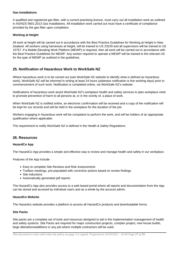## **Gas Installations**

A qualified and registered gas fitter, with a current practising licence, must carry out all installation work as outlined in AS/NZS 5601:2013 Gas Installations. All installation work carried out must have a certificate of compliance provided by the gas fitter upon completion.

#### **Working at Height**

All work at height will be carried out in accordance with the Best Practice Guidelines for Working at Height in New Zealand. All workers using harnesses at height, will be trained to US 23229 and all supervisors will be trained to US 15757. If a Mobile Elevating Work Platform (MEWP) is required, then all work will be carried out in accordance with the Best Practice Guidelines for MEWP. Any worker required to operate a MEWP will be trained to the relevant US for the type of MEWP as outlined in the guidelines.

## **25. Notification of Hazardous Work to WorkSafe NZ**

Where hazardous work is to be carried out (see WorkSafe NZ website to identify what is defined as hazardous work), WorkSafe NZ will be informed in writing at least 24 hours (asbestos notification is five working days) prior to commencement of such work. Notification is completed online, via WorkSafe NZ's website.

Notifications of hazardous work assist WorkSafe NZ's workplace health and safety services to plan workplace visits to promote prevention of harm to all persons at, or in the vicinity of, a place of work.

When WorkSafe NZ is notified online, an electronic confirmation will be received and a copy of the notification will be kept for our records and will be held in the workplace for the duration of the job.

Workers engaging in hazardous work will be competent to perform the work, and will be holders of an appropriate qualification where applicable.

The requirement to notify WorkSafe NZ is defined in the Health & Safety Regulations

## **26. Resources**

## **HazardCo App**

The HazardCo App provides a simple and effective way to review and manage health and safety in our workplace.

Features of the App include:

- Easy to complete Site Reviews and Risk Assessments
- Toolbox meetings, pre-populated with corrective actions based on review findings
- Site inductions
- Automatically generated pdf reports

The HazardCo App also provides access to a web based portal where all reports and documentation from the App can be stored and accesed by individual users and as a whole by the account admin.

#### **HazardCo Website**

The Hazardco website provides a platform to access all HazardCo products and downloadable forms.

## **Site Packs**

Site packs are a complete set of tools and resources designed to aid in the implementation management of health and safety systems. Site Packs are required for major construction projects, complex project, new house builds, large alterations/additions or any job where multiple contractors will be used.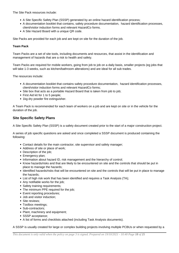The Site Pack resources include:

- A Site Specific Safety Plan (SSSP) generated by an online hazard identification process;
- A documentation booklet that contains, safety procedure documentation, hazard identification processes, client/visitor induction forms and relevant HazardCo forms.
- A Site Hazard Board with a unique QR code.

Site Packs are provided for each job and are kept on site for the duration of the job.

## **Team Pack**

Team Packs are a set of site tools, including documents and resources, that assist in the identification and management of hazards that are a risk to health and safety.

Team Packs are required for mobile workers, going from job to job on a daily basis, smaller projects (eg jobs that will take 1-3 weeks, such as kitchen/bathroom alterations) and are ideal for all sub trades.

The resources include:

- A documentation booklet that contains safety procedure documentation, hazard identification processes, client/visitor induction forms and relevant HazardCo forms;
- Site box that acts as a portable Hazard Board that is taken from job to job;
- First Aid kit for 1 to 5 people;
- 1kg dry powder fire extinguisher.

A Team Pack is recommended for each team of workers on a job and are kept on site or in the vehicle for the duration of the job.

## **Site Specific Safety Plans**

A Site Specific Safety Plan (SSSP) is a safety document created prior to the start of a major construction project.

A series of job specific questions are asked and once completed a SSSP document is produced containing the following:

- Contact details for the main contractor, site supervisor and safety manager;
- Address of site or place of work;
- Description of the job;
- Emergency plan;
- Information about hazard ID, risk management and the hierarchy of control;
- Know hazards/risks and that are likely to be encountered on site and the controls that should be put in place to manage the hazards;
- Identified hazards/risks that will be encountered on site and the controls that will be put in place to manage the hazards;
- List of high risk work that has been identified and requires a Task Analysis (TA);
- Any notifiable works for the job;
- Safety training requirements;
- The minimum PPE required for the job;
- Event reporting procedures;
- Job and visitor induction;
- Site reviews:
- Toolbox meetings;
- Sub-contractors;
- Plant, machinery and equipment;
- SSSP acceptance:
- A list of forms and checklists attached (including Task Analysis documents).

A SSSP is usually created for large or complex building projects involving multiple PCBUs or when requested by a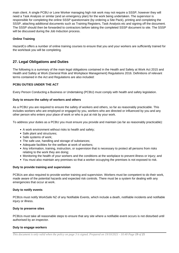main client. A single PCBU or Lone Worker managing high risk work may not require a SSSP, however they will need a Task Analysis or similar (and an emergency plan) for the work being undertaken. The supervisor is responsible for completing the online SSSP questionnaire (by ordering a Site Pack), printing and completing the SSSP, attaching additional documents such as Training Registers, Task Analysis etc and signing off the document. The SSSP should then be forwarded to contractors before taking the completed SSSP document to site. The SSSP will be discussed during the Job Induction process.

## **Online Training**

HazardCo offers a number of online training courses to ensure that you and your workers are sufficiently trained for the work/task you will be completing.

## **27. Legal Obligations and Duties**

The following is a summary of the main legal obligations contained in the Health and Safety at Work Act 2015 and Health and Safety at Work (General Risk and Workplace Management) Regulations 2016. Definitions of relevant terms contained in the Act and Regulations are also included:

## **PCBU DUTIES UNDER THE ACT**

Every Person Conducting a Business or Undertaking (PCBU) must comply with health and safety legislation.

## **Duty to ensure the safety of workers and others**

As a PCBU you are required to ensure the safety of workers and others, so far as reasonably practicable. This includes workers who are employed or engaged by you, workers who are directed or influenced by you and any other person who enters your place of work or who is put at risk by your work.

To address your duties as a PCBU you must ensure you provide and maintain (as far as reasonably practicable):

- A work environment without risks to health and safety;
- Safe plant and structures;
- Safe systems of work;
- The safe use, handling and storage of substances;
- Adequate facilities for the welfare at work of workers;
- Any information, training, instruction, or supervision that is necessary to protect all persons from risks relating to the work they are doing;
- Monitoring the health of your workers and the conditions at the workplace to prevent illness or injury; and
- You must also maintain any premises so that a worker occupying the premises is not exposed to risk.

## **Duty to provide training and supervision**

PCBUs are also required to provide worker training and supervision. Workers must be competent to do their work, made aware of the potential hazards and expected risk controls. There must be a system for dealing with any emergencies that occur at work.

## **Duty to notify events**

PCBUs must notify WorkSafe NZ of any Notifiable Events, which include a death, notifiable incidents and notifiable injury or illness.

## **Duty to preserve sites**

PCBUs must take all reasonable steps to ensure that any site where a notifiable event occurs is not disturbed until authorised by an inspector.

## **Duty to engage workers**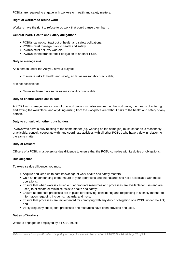PCBUs are required to engage with workers on health and safety matters.

#### **Right of workers to refuse work**

Workers have the right to refuse to do work that could cause them harm.

#### **General PCBU Health and Safety obligations**

- PCBUs cannot contract out of health and safety obligations.
- PCBUs must manage risks to health and safety.
- PCBUs must not levy workers.
- PCBUs cannot transfer their obligation to another PCBU.

#### **Duty to manage risk**

As a person under the Act you have a duty to:

Eliminate risks to health and safety, so far as reasonably practicable;

or if not possible to;

Minimise those risks so far as reasonability practicable

#### **Duty to ensure workplace is safe**

A PCBU with management or control of a workplace must also ensure that the workplace, the means of entering and exiting the workplace, and anything arising from the workplace are without risks to the health and safety of any person.

#### **Duty to consult with other duty holders**

PCBUs who have a duty relating to the same matter (eg. working on the same job) must, so far as is reasonably practicable, consult, cooperate with, and coordinate activities with all other PCBUs who have a duty in relation to the same matter.

## **Duty of Officers**

Officers of a PCBU must exercise due diligence to ensure that the PCBU complies with its duties or obligations.

#### **Due diligence**

To exercise due diligence, you must:

- Acquire and keep up to date knowledge of work health and safety matters;
- Gain an understanding of the nature of your operations and the hazards and risks associated with those operations;
- Ensure that when work is carried out, appropriate resources and processes are available for use (and are used) to eliminate or minimise risks to health and safety;
- Ensure appropriate processes are in place for receiving, considering and responding in a timely manner to information regarding incidents, hazards, and risks;
- Ensure that processes are implemented for complying with any duty or obligation of a PCBU under the Act; and
- Verify (regularly check) that processes and resources have been provided and used.

## **Duties of Workers**

Workers engaged or employed by a PCBU must: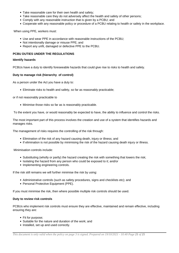- Take reasonable care for their own health and safety;
- Take reasonable care they do not adversely affect the health and safety of other persons;
- Comply with any reasonable instruction that is given by a PCBU; and
- Cooperate with any reasonable policy or procedure of a PCBU relating to health or safety in the workplace.

When using PPE, workers must:

- Use and wear PPE in accordance with reasonable instructions of the PCBU;
- Not intentionally damage or misuse PPE; and
- Report any unfit, damaged or defective PPE to the PCBU.

## **PCBU DUTIES UNDER THE REGULATIONS**

#### **Identify hazards**

PCBUs have a duty to identify foreseeable hazards that could give rise to risks to health and safety.

## **Duty to manage risk (hierarchy of control)**

As a person under the Act you have a duty to:

Eliminate risks to health and safety, so far as reasonably practicable;

or if not reasonably practicable to

Minimise those risks so far as is reasonably practicable.

To the extent you have, or would reasonably be expected to have, the ability to influence and control the risks.

The most important part of this process involves the creation and use of a system that identifies hazards and manages risks.

The management of risks requires the controlling of the risk through:

- Elimination of the risk of any hazard causing death, injury or illness; and
- If elimination is not possible by minimising the risk of the hazard causing death injury or illness.

Minimisation controls include:

- Substituting (wholly or partly) the hazard creating the risk with something that lowers the risk;
- Isolating the hazard from any person who could be exposed to it; and/or
- Implementing engineering controls.

If the risk still remains we will further minimise the risk by using:

- Administrative controls (such as safety procedures, signs and checklists etc); and
- Personal Protective Equipment (PPE).

If you must minimise the risk, then where possible multiple risk controls should be used.

## **Duty to review risk controls**

PCBUs who implement risk controls must ensure they are effective, maintained and remain effective, including ensuring they are:

- Fit for purpose:
- Suitable for the nature and duration of the work; and
- Installed, set up and used correctly.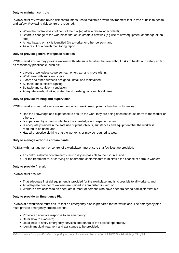## **Duty to maintain controls**

PCBUs must review and revise risk control measures to maintain a work environment that is free of risks to health and safety. Reviewing risk controls is required:

- When the control does not control the risk (eg after a review or accident);
- Before a change at the workplace that could create a new risk (eg use of new equipment or change of job step);
- A new hazard or risk is identified (by a worker or other person); and
- As a result of a health monitoring report.

## **Duty to provide general workplace facilities**

PCBUs must ensure they provide workers with adequate facilities that are without risks to health and safety so far as reasonably practicable, such as:

- Layout of workplace so person can enter, exit and move within;
- Work area with sufficient space;
- Floors and other surfaces designed, install and maintained;
- Suitable and sufficient lighting;
- Suitable and sufficient ventilation;
- Adequate toilets, drinking water, hand washing facilities, break area.

## **Duty to provide training and supervision**

PCBUs must ensure that every worker conducting work, using plant or handling substances:

- Has the knowledge and experience to ensure the work they are doing does not cause harm to the worker or others; or
- Is supervised by a person who has the knowledge and experience; and
- Is adequately trained in the safe use of plant, objects, substances and equipment that the worker is required to be used; and
- Has all protective clothing that the worker is or may be required to wear.

## **Duty to manage airborne contaminants**

PCBUs with management or control of a workplace must ensure that facilities are provided:

- To control airborne contaminants as closely as possible to their source; and
- For the treatment of, or carrying off of airborne contaminants to minimize the chance of harm to workers.

## **Duty to provide first aid**

PCBUs must ensure:

- That adequate first aid equipment is provided for the workplace and is accessible to all workers; and
- An adequate number of workers are trained to administer first aid; or
- Workers have access to an adequate number of persons who have been trained to administer first aid.

## **Duty to provide an Emergency Plan**

PCBUs at a workplace must ensure that an emergency plan is prepared for the workplace. The emergency plan must provide emergency procedures that:

- Provide an effective response to an emergency;
- Detail how to evacuate:
- Detail how to notify emergency services and others at the earliest opportunity;
- Identify medical treatment and assistance to be provided;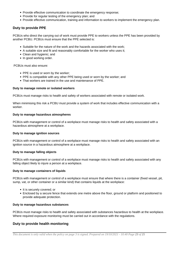- Provide effective communication to coordinate the emergency response;
- Provide for regular testing of the emergency plan; and
- Provide effective communication, training and information to workers to implement the emergency plan.

## **Duty to provide PPE**

PCBUs who direct the carrying out of work must provide PPE to workers unless the PPE has been provided by another PCBU. PCBUs must ensure that the PPE selected is:

- Suitable for the nature of the work and the hazards associated with the work;
- A suitable size and fit and reasonably comfortable for the worker who uses it;
- Clean and hygienic; and
- In good working order.

PCBUs must also ensure:

- PPE is used or worn by the worker:
- PPE is compatible with any other PPE being used or worn by the worker; and
- That workers are trained in the use and maintenance of PPE.

#### **Duty to manage remote or isolated workers**

PCBUs must manage risks to health and safety of workers associated with remote or isolated work.

When minimising this risk a PCBU must provide a system of work that includes effective communication with a worker.

#### **Duty to manage hazardous atmospheres**

PCBUs with management or control of a workplace must manage risks to health and safety associated with a hazardous atmosphere at a workplace.

#### **Duty to manage ignition sources**

PCBUs with management or control of a workplace must manage risks to health and safety associated with an ignition source in a hazardous atmosphere at a workplace.

#### **Duty to manage falling objects**

PCBUs with management or control of a workplace must manage risks to health and safety associated with any falling object likely to injure a person at a workplace.

#### **Duty to manage containers of liquids**

PCBUs with management or control of a workplace must ensure that where there is a container (fixed vessel, pit, sump, vat, or other container or a similar kind) that contains liquids at the workplace:

- It is securely covered; or
- Enclosed by a secure fence that extends one metre above the floor, ground or platform and positioned to provide adequate protection.

#### **Duty to manage hazardous substances**

PCBUs must manage risks to health and safety associated with substances hazardous to health at the workplace. Where required exposure monitoring must be carried out in accordance with the regulations.

## **Duty to provide health monitoring**

*This document is only valid when the policy on page 3 is signed. Prepared on 19/10/2021 - 10:40 Page 23 of 25*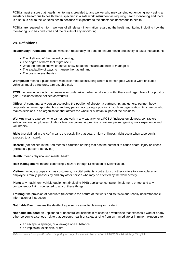PCBUs must ensure that health monitoring is provided to any worker who may carrying out ongoing work using a substance hazardous to health that is specified in a safe work instrument as requiring health monitoring and there is a serious risk to the worker's health because of exposure to the substance hazardous to health.

PCBUs are required to inform workers of all relevant information regarding the health monitoring including how the monitoring is to be conducted and the results of any monitoring.

## **28. Definitions**

**Reasonably Practicable:** means what can reasonably be done to ensure health and safety. It takes into account:

- The likelihood of the hazard occurring;
- The degree of harm that might occur:
- What the person knows or should know about the hazard and how to manage it;
- The availability of ways to manage the hazard; and
- The costs versus the risk.

**Workplace:** means a place where work is carried out including where a worker goes while at work (includes vehicles, mobile structures, aircraft, ship etc).

**PCBU:** a person conducting a business or undertaking, whether alone or with others and regardless of for profit or gain – excludes those defined as workers.

**Officer:** A company, any person occupying the position of director, a partnership, any general partner, body corporate, an unincorporated body and any person occupying a position in such an organisation. Any person who makes decisions in an organisation that affects the whole or substantial part of the business.

**Worker:** means a person who carries out work in any capacity for a PCBU (includes employees, contractors, subcontractors, employees of labour hire companies, apprentice or trainee, person gaining work experience and volunteers).

**Risk:** (not defined in the Act) means the possibility that death, injury or illness might occur when a person is exposed to a hazard.

**Hazard:** (not defined in the Act) means a situation or thing that has the potential to cause death, injury or illness (includes a person's behaviour).

**Health:** means physical and mental health.

**Risk Management:** means controlling a hazard through Elimination or Minimisation.

**Visitors:** include groups such as customers, hospital patients, contractors or other visitors to a workplace, an employee's family, passers by and any other person who may be affected by the work activity.

**Plant:** any machinery, vehicle equipment (including PPE) appliance, container, implement, or tool and any component or fitting connected to any of these things.

**Training:** the provision of adequate (relevant to the nature of the work and its risks) and readily understandable information or instruction.

**Notifiable Event:** means the death of a person or a notifiable injury or incident.

**Notifiable Incident:** an unplanned or uncontrolled incident in relation to a workplace that exposes a worker or any other person to a serious risk to that person's health or safety arising from an immediate or imminent exposure to:

- an escape, a spillage, or a leakage of a substance;
- an implosion, explosion, or fire: